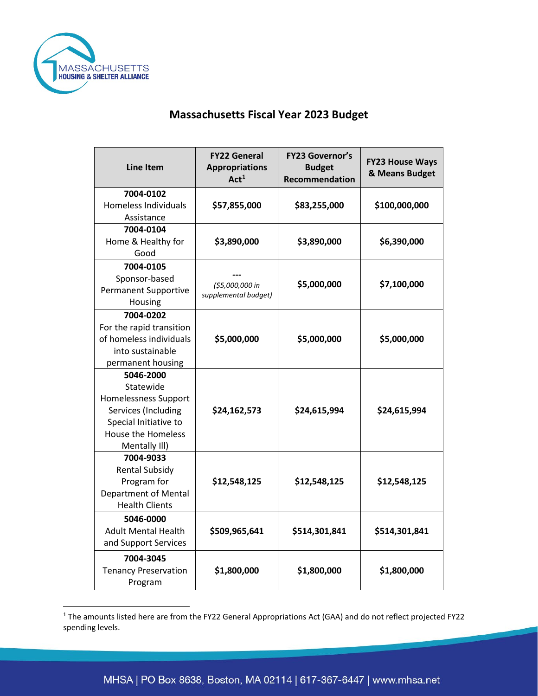

## **Massachusetts Fiscal Year 2023 Budget**

| <b>Line Item</b>                     | <b>FY22 General</b><br><b>Appropriations</b><br>Act <sup>1</sup> | <b>FY23 Governor's</b><br><b>Budget</b><br>Recommendation | <b>FY23 House Ways</b><br>& Means Budget |
|--------------------------------------|------------------------------------------------------------------|-----------------------------------------------------------|------------------------------------------|
| 7004-0102                            |                                                                  |                                                           |                                          |
| <b>Homeless Individuals</b>          | \$57,855,000                                                     | \$83,255,000                                              | \$100,000,000                            |
| Assistance                           |                                                                  |                                                           |                                          |
| 7004-0104<br>Home & Healthy for      | \$3,890,000                                                      | \$3,890,000                                               | \$6,390,000                              |
| Good                                 |                                                                  |                                                           |                                          |
| 7004-0105                            |                                                                  |                                                           |                                          |
| Sponsor-based                        |                                                                  |                                                           |                                          |
| <b>Permanent Supportive</b>          | (\$5,000,000 in                                                  | \$5,000,000                                               | \$7,100,000                              |
| Housing                              | supplemental budget)                                             |                                                           |                                          |
| 7004-0202                            |                                                                  |                                                           |                                          |
| For the rapid transition             |                                                                  |                                                           |                                          |
| of homeless individuals              | \$5,000,000                                                      | \$5,000,000                                               | \$5,000,000                              |
| into sustainable                     |                                                                  |                                                           |                                          |
| permanent housing                    |                                                                  |                                                           |                                          |
| 5046-2000                            |                                                                  |                                                           |                                          |
| Statewide                            |                                                                  |                                                           |                                          |
| <b>Homelessness Support</b>          |                                                                  |                                                           |                                          |
| Services (Including                  | \$24,162,573                                                     | \$24,615,994                                              | \$24,615,994                             |
| Special Initiative to                |                                                                  |                                                           |                                          |
| <b>House the Homeless</b>            |                                                                  |                                                           |                                          |
| Mentally III)                        |                                                                  |                                                           |                                          |
| 7004-9033                            |                                                                  |                                                           |                                          |
| <b>Rental Subsidy</b><br>Program for | \$12,548,125                                                     | \$12,548,125                                              | \$12,548,125                             |
| <b>Department of Mental</b>          |                                                                  |                                                           |                                          |
| <b>Health Clients</b>                |                                                                  |                                                           |                                          |
| 5046-0000                            |                                                                  |                                                           |                                          |
| <b>Adult Mental Health</b>           | \$509,965,641                                                    | \$514,301,841                                             | \$514,301,841                            |
| and Support Services                 |                                                                  |                                                           |                                          |
| 7004-3045                            |                                                                  |                                                           |                                          |
| <b>Tenancy Preservation</b>          | \$1,800,000                                                      | \$1,800,000                                               | \$1,800,000                              |
| Program                              |                                                                  |                                                           |                                          |
|                                      |                                                                  |                                                           |                                          |

<span id="page-0-0"></span><sup>1</sup> The amounts listed here are from the FY22 General Appropriations Act (GAA) and do not reflect projected FY22 spending levels.